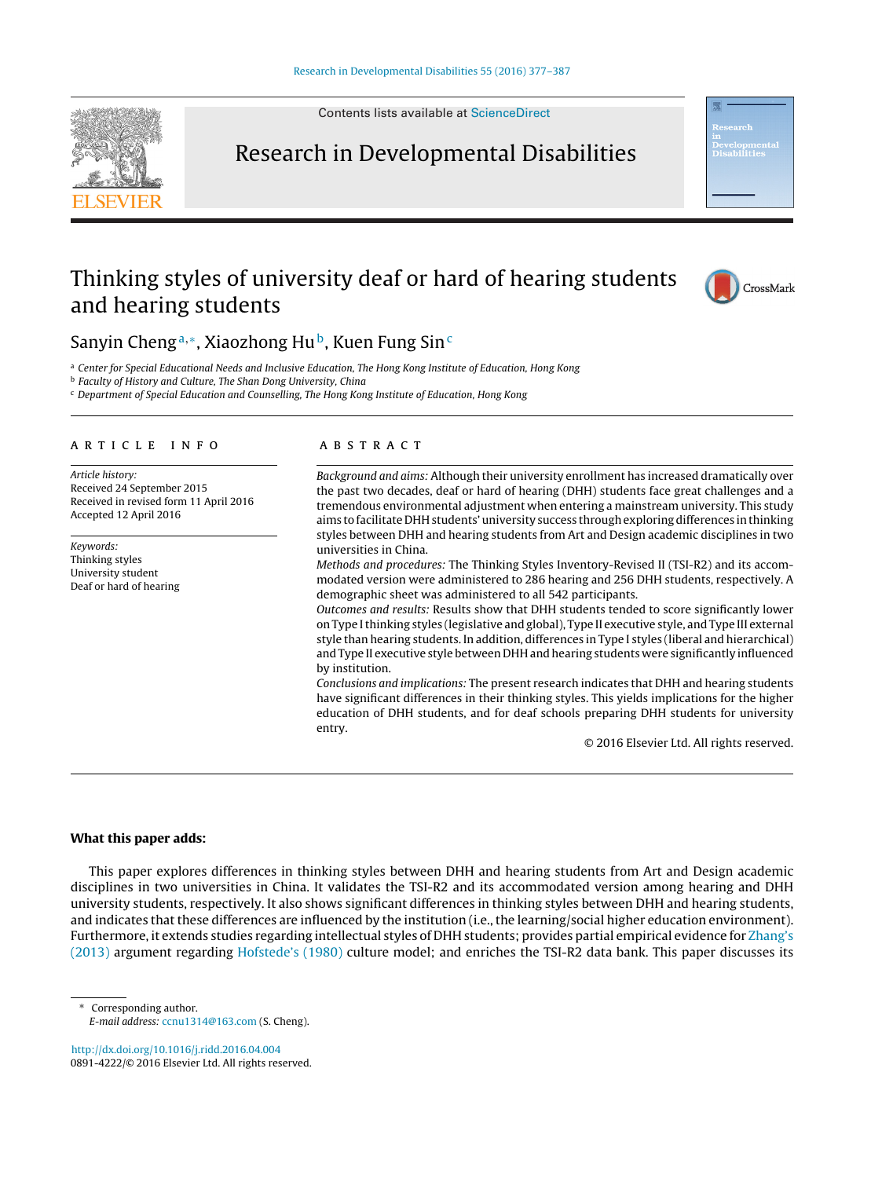Contents lists available at [ScienceDirect](http://www.sciencedirect.com/science/journal/08914222)

## Research in Developmental Disabilities

### Thinking styles of university deaf or hard of hearing students and hearing students



a Center for Special Educational Needs and Inclusive Education, The Hong Kong Institute of Education, Hong Kong

**b** Faculty of History and Culture, The Shan Dong University, China

<sup>c</sup> Department of Special Education and Counselling, The Hong Kong Institute of Education, Hong Kong

#### ARTICLE INFO

Article history: Received 24 September 2015 Received in revised form 11 April 2016 Accepted 12 April 2016

Keywords: Thinking styles University student Deaf or hard of hearing

#### A B S T R A C T

Background and aims: Although their university enrollment has increased dramatically over the past two decades, deaf or hard of hearing (DHH) students face great challenges and a tremendous environmental adjustment when entering a mainstream university. This study aims to facilitate DHH students' university success through exploring differences in thinking styles between DHH and hearing students from Art and Design academic disciplines in two universities in China.

Methods and procedures: The Thinking Styles Inventory-Revised II (TSI-R2) and its accommodated version were administered to 286 hearing and 256 DHH students, respectively. A demographic sheet was administered to all 542 participants.

Outcomes and results: Results show that DHH students tended to score significantly lower on Type Ithinking styles (legislative and global), Type II executive style, and Type III external style than hearing students. In addition, differences in Type I styles (liberal and hierarchical) and Type II executive style between DHH and hearing students were significantly influenced by institution.

Conclusions and implications: The present research indicates that DHH and hearing students have significant differences in their thinking styles. This yields implications for the higher education of DHH students, and for deaf schools preparing DHH students for university entry.

© 2016 Elsevier Ltd. All rights reserved.

#### **What this paper adds:**

This paper explores differences in thinking styles between DHH and hearing students from Art and Design academic disciplines in two universities in China. It validates the TSI-R2 and its accommodated version among hearing and DHH university students, respectively. It also shows significant differences in thinking styles between DHH and hearing students, and indicates that these differences are influenced by the institution (i.e., the learning/social higher education environment). Furthermore, it extends studies regarding intellectual styles of DHH students; provides partial empirical evidence for [Zhang's](#page--1-0) [\(2013\)](#page--1-0) argument regarding [Hofstede's](#page--1-0) [\(1980\)](#page--1-0) culture model; and enriches the TSI-R2 data bank. This paper discusses its

Corresponding author. E-mail address: [ccnu1314@163.com](mailto:ccnu1314@163.com) (S. Cheng).

[http://dx.doi.org/10.1016/j.ridd.2016.04.004](dx.doi.org/10.1016/j.ridd.2016.04.004) 0891-4222/© 2016 Elsevier Ltd. All rights reserved.





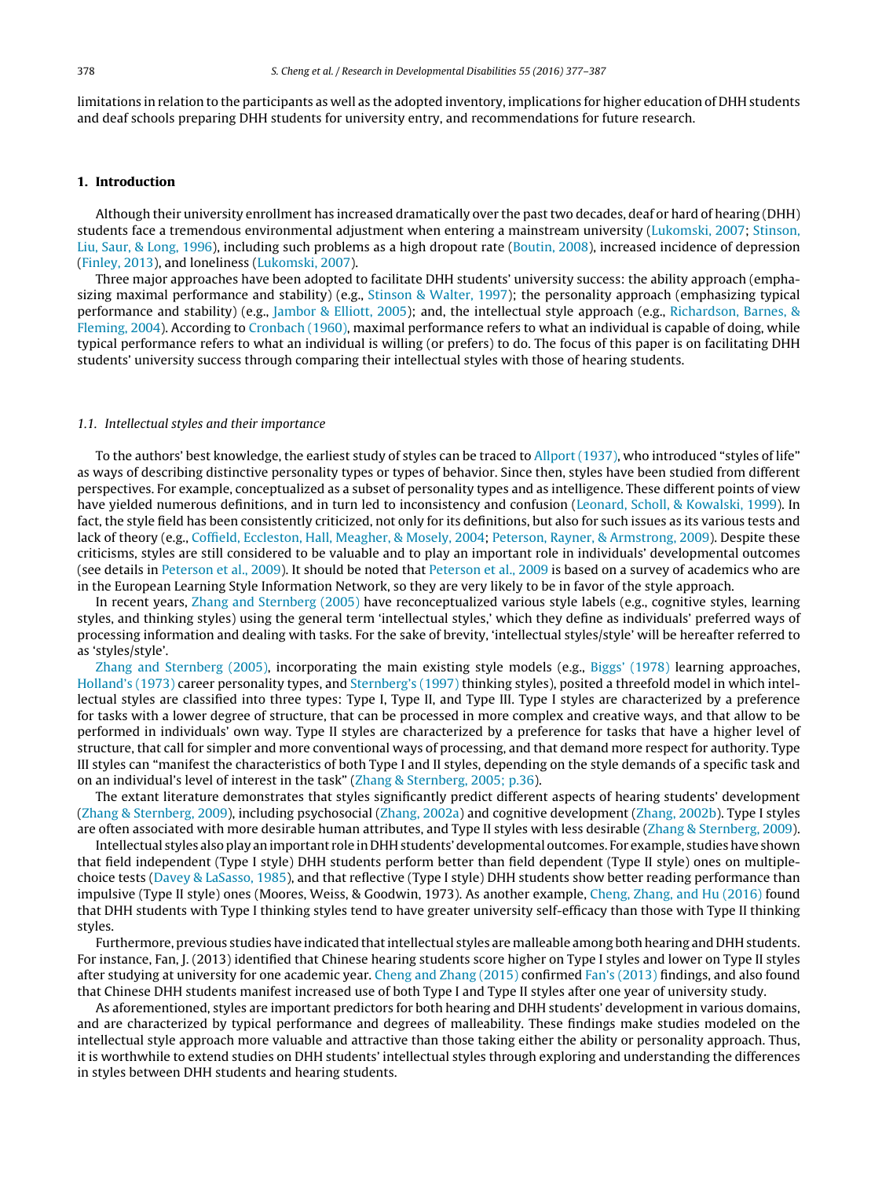limitations in relation to the participants as well as the adopted inventory, implications for higher education of DHH students and deaf schools preparing DHH students for university entry, and recommendations for future research.

#### **1. Introduction**

Although their university enrollment has increased dramatically over the past two decades, deaf or hard of hearing (DHH) students face a tremendous environmental adjustment when entering a mainstream university ([Lukomski,](#page--1-0) [2007;](#page--1-0) [Stinson,](#page--1-0) [Liu,](#page--1-0) [Saur,](#page--1-0) [&](#page--1-0) [Long,](#page--1-0) [1996\),](#page--1-0) including such problems as a high dropout rate [\(Boutin,](#page--1-0) [2008\),](#page--1-0) increased incidence of depression [\(Finley,](#page--1-0) [2013\),](#page--1-0) and loneliness [\(Lukomski,](#page--1-0) [2007\).](#page--1-0)

Three major approaches have been adopted to facilitate DHH students' university success: the ability approach (emphasizing maximal performance and stability) (e.g., [Stinson](#page--1-0) [&](#page--1-0) [Walter,](#page--1-0) [1997\);](#page--1-0) the personality approach (emphasizing typical performance and stability) (e.g., [Jambor](#page--1-0) [&](#page--1-0) [Elliott,](#page--1-0) [2005\);](#page--1-0) and, the intellectual style approach (e.g., [Richardson,](#page--1-0) [Barnes,](#page--1-0) [&](#page--1-0) [Fleming,](#page--1-0) [2004\).](#page--1-0) According to [Cronbach](#page--1-0) [\(1960\),](#page--1-0) maximal performance refers to what an individual is capable of doing, while typical performance refers to what an individual is willing (or prefers) to do. The focus of this paper is on facilitating DHH students' university success through comparing their intellectual styles with those of hearing students.

#### 1.1. Intellectual styles and their importance

To the authors' best knowledge, the earliest study of styles can be traced to [Allport](#page--1-0) [\(1937\),](#page--1-0) who introduced "styles of life" as ways of describing distinctive personality types or types of behavior. Since then, styles have been studied from different perspectives. For example, conceptualized as a subset of personality types and as intelligence. These different points of view have yielded numerous definitions, and in turn led to inconsistency and confusion [\(Leonard,](#page--1-0) [Scholl,](#page--1-0) [&](#page--1-0) [Kowalski,](#page--1-0) [1999\).](#page--1-0) In fact, the style field has been consistently criticized, not only for its definitions, but also for such issues as its various tests and lack of theory (e.g., [Coffield,](#page--1-0) [Eccleston,](#page--1-0) [Hall,](#page--1-0) [Meagher,](#page--1-0) [&](#page--1-0) [Mosely,](#page--1-0) [2004;](#page--1-0) [Peterson,](#page--1-0) [Rayner,](#page--1-0) [&](#page--1-0) [Armstrong,](#page--1-0) [2009\).](#page--1-0) Despite these criticisms, styles are still considered to be valuable and to play an important role in individuals' developmental outcomes (see details in [Peterson](#page--1-0) et [al.,](#page--1-0) [2009\).](#page--1-0) It should be noted that [Peterson](#page--1-0) et [al.,](#page--1-0) [2009](#page--1-0) is based on a survey of academics who are in the European Learning Style Information Network, so they are very likely to be in favor of the style approach.

In recent years, [Zhang](#page--1-0) [and](#page--1-0) [Sternberg](#page--1-0) [\(2005\)](#page--1-0) have reconceptualized various style labels (e.g., cognitive styles, learning styles, and thinking styles) using the general term 'intellectual styles,' which they define as individuals' preferred ways of processing information and dealing with tasks. For the sake of brevity, 'intellectual styles/style' will be hereafter referred to as 'styles/style'.

[Zhang](#page--1-0) [and](#page--1-0) [Sternberg](#page--1-0) [\(2005\),](#page--1-0) incorporating the main existing style models (e.g., [Biggs'](#page--1-0) [\(1978\)](#page--1-0) learning approaches, [Holland's](#page--1-0) [\(1973\)](#page--1-0) career personality types, and [Sternberg's](#page--1-0) [\(1997\)](#page--1-0) thinking styles), posited a threefold model in which intellectual styles are classified into three types: Type I, Type II, and Type III. Type I styles are characterized by a preference for tasks with a lower degree of structure, that can be processed in more complex and creative ways, and that allow to be performed in individuals' own way. Type II styles are characterized by a preference for tasks that have a higher level of structure, that call for simpler and more conventional ways of processing, and that demand more respect for authority. Type III styles can "manifest the characteristics of both Type I and II styles, depending on the style demands of a specific task and on an individual's level of interest in the task" ([Zhang](#page--1-0) [&](#page--1-0) [Sternberg,](#page--1-0) [2005;](#page--1-0) [p.36\).](#page--1-0)

The extant literature demonstrates that styles significantly predict different aspects of hearing students' development [\(Zhang](#page--1-0) [&](#page--1-0) [Sternberg,](#page--1-0) [2009\),](#page--1-0) including psychosocial ([Zhang,](#page--1-0) [2002a\)](#page--1-0) and cognitive development ([Zhang,](#page--1-0) [2002b\).](#page--1-0) Type I styles are often associated with more desirable human attributes, and Type II styles with less desirable [\(Zhang](#page--1-0) [&](#page--1-0) [Sternberg,](#page--1-0) [2009\).](#page--1-0)

Intellectual styles also play animportant role in DHH students' developmental outcomes. For example, studieshave shown that field independent (Type I style) DHH students perform better than field dependent (Type II style) ones on multiplechoice tests ([Davey](#page--1-0) [&](#page--1-0) [LaSasso,](#page--1-0) [1985\),](#page--1-0) and that reflective (Type I style) DHH students show better reading performance than impulsive (Type II style) ones (Moores, Weiss, & Goodwin, 1973). As another example, [Cheng,](#page--1-0) [Zhang,](#page--1-0) [and](#page--1-0) [Hu](#page--1-0) [\(2016\)](#page--1-0) found that DHH students with Type I thinking styles tend to have greater university self-efficacy than those with Type II thinking styles.

Furthermore, previous studies have indicated that intellectual styles are malleable among both hearing and DHH students. For instance, Fan, J. (2013) identified that Chinese hearing students score higher on Type I styles and lower on Type II styles after studying at university for one academic year. [Cheng](#page--1-0) [and](#page--1-0) [Zhang](#page--1-0) [\(2015\)](#page--1-0) confirmed [Fan's](#page--1-0) [\(2013\)](#page--1-0) findings, and also found that Chinese DHH students manifest increased use of both Type I and Type II styles after one year of university study.

As aforementioned, styles are important predictors for both hearing and DHH students' development in various domains, and are characterized by typical performance and degrees of malleability. These findings make studies modeled on the intellectual style approach more valuable and attractive than those taking either the ability or personality approach. Thus, it is worthwhile to extend studies on DHH students' intellectual styles through exploring and understanding the differences in styles between DHH students and hearing students.